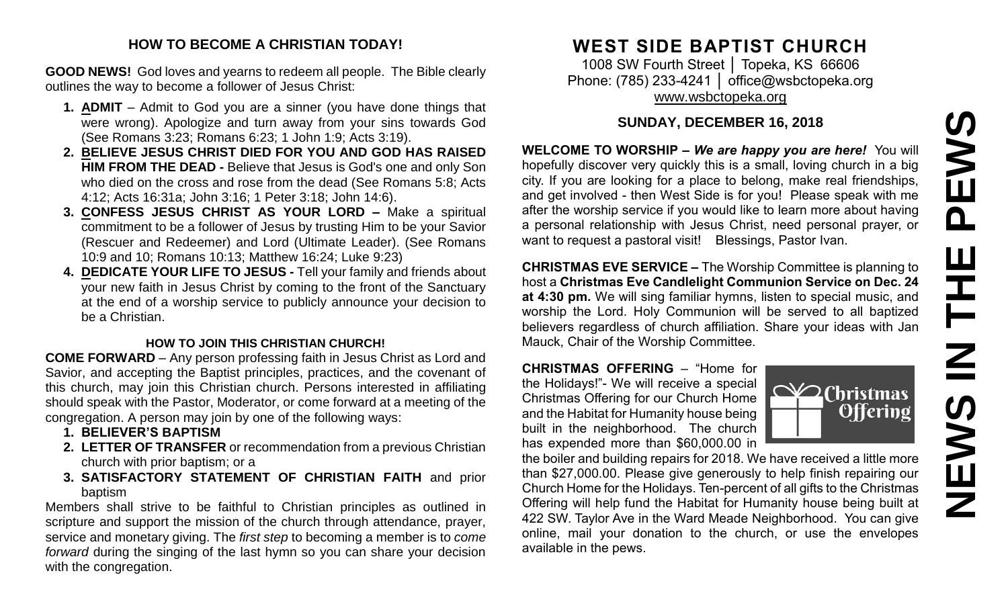# PEWS **NEWS IN THE PEWS**Ш 下 NEWS

#### **HOW TO BECOME A CHRISTIAN TODAY!**

**GOOD NEWS!** God loves and yearns to redeem all people. The Bible clearly outlines the way to become a follower of Jesus Christ:

- **1. ADMIT** Admit to God you are a sinner (you have done things that were wrong). Apologize and turn away from your sins towards God (See Romans 3:23; Romans 6:23; 1 John 1:9; Acts 3:19).
- **2. BELIEVE JESUS CHRIST DIED FOR YOU AND GOD HAS RAISED HIM FROM THE DEAD -** Believe that Jesus is God's one and only Son who died on the cross and rose from the dead (See Romans 5:8; Acts 4:12; Acts 16:31a; John 3:16; 1 Peter 3:18; John 14:6).
- **3. CONFESS JESUS CHRIST AS YOUR LORD –** Make a spiritual commitment to be a follower of Jesus by trusting Him to be your Savior (Rescuer and Redeemer) and Lord (Ultimate Leader). (See Romans 10:9 and 10; Romans 10:13; Matthew 16:24; Luke 9:23)
- **4. DEDICATE YOUR LIFE TO JESUS -** Tell your family and friends about your new faith in Jesus Christ by coming to the front of the Sanctuary at the end of a worship service to publicly announce your decision to be a Christian.

#### **HOW TO JOIN THIS CHRISTIAN CHURCH!**

**COME FORWARD** – Any person professing faith in Jesus Christ as Lord and Savior, and accepting the Baptist principles, practices, and the covenant of this church, may join this Christian church. Persons interested in affiliating should speak with the Pastor, Moderator, or come forward at a meeting of the congregation. A person may join by one of the following ways:

- **1. BELIEVER'S BAPTISM**
- **2. LETTER OF TRANSFER** or recommendation from a previous Christian church with prior baptism; or a
- **3. SATISFACTORY STATEMENT OF CHRISTIAN FAITH** and prior baptism

Members shall strive to be faithful to Christian principles as outlined in scripture and support the mission of the church through attendance, prayer, service and monetary giving. The *first step* to becoming a member is to *come forward* during the singing of the last hymn so you can share your decision with the congregation.

#### **WEST SIDE BAPTIST CHURCH**

1008 SW Fourth Street │ Topeka, KS 66606 Phone: (785) 233-4241 | [office@wsbctopeka.org](mailto:office@wsbctopeka.org) [www.wsbctopeka.org](http://www.wsbctopeka.org/)

#### **SUNDAY, DECEMBER 16, 2018**

**WELCOME TO WORSHIP –** *We are happy you are here!* You will hopefully discover very quickly this is a small, loving church in a big city. If you are looking for a place to belong, make real friendships, and get involved - then West Side is for you! Please speak with me after the worship service if you would like to learn more about having a personal relationship with Jesus Christ, need personal prayer, or want to request a pastoral visit! Blessings, Pastor Ivan.

**CHRISTMAS EVE SERVICE –** The Worship Committee is planning to host a **Christmas Eve Candlelight Communion Service on Dec. 24 at 4:30 pm.** We will sing familiar hymns, listen to special music, and worship the Lord. Holy Communion will be served to all baptized believers regardless of church affiliation. Share your ideas with Jan Mauck, Chair of the Worship Committee.

**CHRISTMAS OFFERING** – "Home for the Holidays!"- We will receive a special Christmas Offering for our Church Home and the Habitat for Humanity house being built in the neighborhood. The church has expended more than \$60,000.00 in

the boiler and building repairs for 2018. We have received a little more than \$27,000.00. Please give generously to help finish repairing our Church Home for the Holidays. Ten-percent of all gifts to the Christmas Offering will help fund the Habitat for Humanity house being built at 422 SW. Taylor Ave in the Ward Meade Neighborhood. You can give online, mail your donation to the church, or use the envelopes available in the pews.

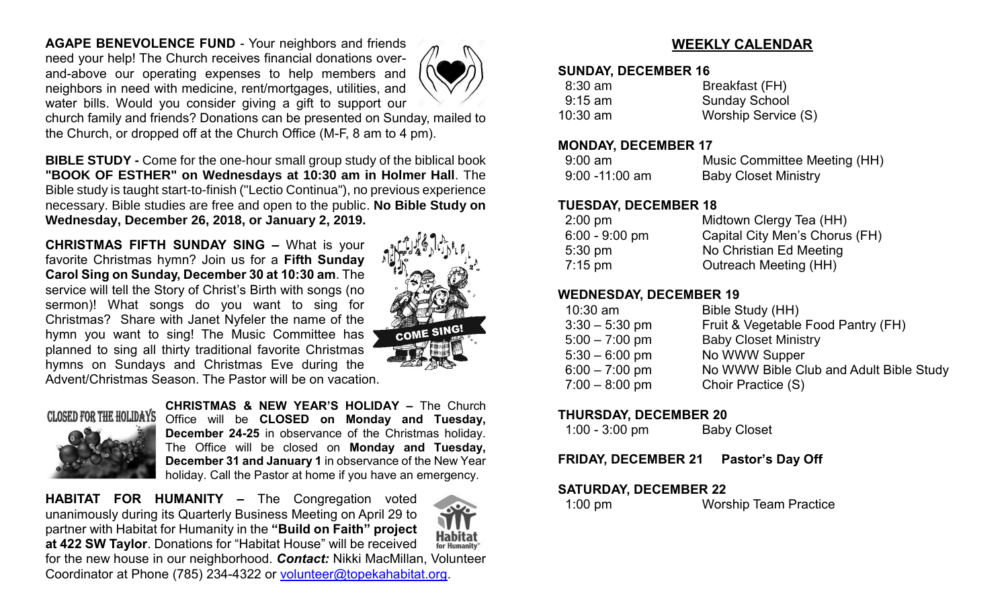**AGAPE BENEVOLENCE FUND** - Your neighbors and friends need your help! The Church receives financial donations overand-above our operating expenses to help members and neighbors in need with medicine, rent/mortgages, utilities, and water bills. Would you consider giving a gift to support our



church family and friends? Donations can be presented on Sunday, mailed to the Church, or dropped off at the Church Office (M-F, 8 am to 4 pm).

**BIBLE STUDY -** Come for the one-hour small group study of the biblical book **"BOOK OF ESTHER" on Wednesdays at 10:30 am in Holmer Hall**. The Bible study is taught start-to-finish ("Lectio Continua"), no previous experience necessary. Bible studies are free and open to the public. **No Bible Study on Wednesday, December 26, 2018, or January 2, 2019.**

**CHRISTMAS FIFTH SUNDAY SING –** What is your favorite Christmas hymn? Join us for a **Fifth Sunday Carol Sing on Sunday, December 30 at 10:30 am**. The service will tell the Story of Christ's Birth with songs (no sermon)! What songs do you want to sing for Christmas? Share with Janet Nyfeler the name of the hymn you want to sing! The Music Committee has planned to sing all thirty traditional favorite Christmas hymns on Sundays and Christmas Eve during the Advent/Christmas Season. The Pastor will be on vacation.



## **CLOSED FOR THE HOLIDAYS**

**CHRISTMAS & NEW YEAR'S HOLIDAY –** The Church Office will be **CLOSED on Monday and Tuesday, December 24-25** in observance of the Christmas holiday. The Office will be closed on **Monday and Tuesday, December 31 and January 1** in observance of the New Year holiday. Call the Pastor at home if you have an emergency.

**HABITAT FOR HUMANITY –** The Congregation voted unanimously during its Quarterly Business Meeting on April 29 to partner with Habitat for Humanity in the **"Build on Faith" project at 422 SW Taylor**. Donations for "Habitat House" will be received for the new house in our neighborhood. *Contact:* Nikki MacMillan, Volunteer Coordinator at Phone (785) 234-4322 or [volunteer@topekahabitat.org.](mailto:volunteer@topekahabitat.org)

#### **WEEKLY CALENDAR**

#### **SUNDAY, DECEMBER 16**

| $8:30$ am  | Breakfast (FH)       |
|------------|----------------------|
| $9:15$ am  | <b>Sunday School</b> |
| $10:30$ am | Worship Service (S)  |

#### **MONDAY, DECEMBER 17**

| $9:00$ am         | Music Committee Meeting (HH) |
|-------------------|------------------------------|
| $9:00 - 11:00$ am | <b>Baby Closet Ministry</b>  |

#### **TUESDAY, DECEMBER 18**

| $2:00 \text{ pm}$ | Midtown Clergy Tea (HH)        |
|-------------------|--------------------------------|
| $6:00 - 9:00$ pm  | Capital City Men's Chorus (FH) |
| $5:30 \text{ pm}$ | No Christian Ed Meeting        |
| $7:15 \text{ pm}$ | <b>Outreach Meeting (HH)</b>   |
|                   |                                |

#### **WEDNESDAY, DECEMBER 19**

| $10:30$ am       | Bible Study (HH)                        |
|------------------|-----------------------------------------|
| $3:30 - 5:30$ pm | Fruit & Vegetable Food Pantry (FH)      |
| $5:00 - 7:00$ pm | <b>Baby Closet Ministry</b>             |
| $5:30 - 6:00$ pm | No WWW Supper                           |
| $6:00 - 7:00$ pm | No WWW Bible Club and Adult Bible Study |
| $7:00 - 8:00$ pm | Choir Practice (S)                      |

#### **THURSDAY, DECEMBER 20**

| $1:00 - 3:00$ pm | <b>Baby Closet</b> |
|------------------|--------------------|
|------------------|--------------------|

**FRIDAY, DECEMBER 21 Pastor's Day Off**

#### **SATURDAY, DECEMBER 22**

1:00 pm Worship Team Practice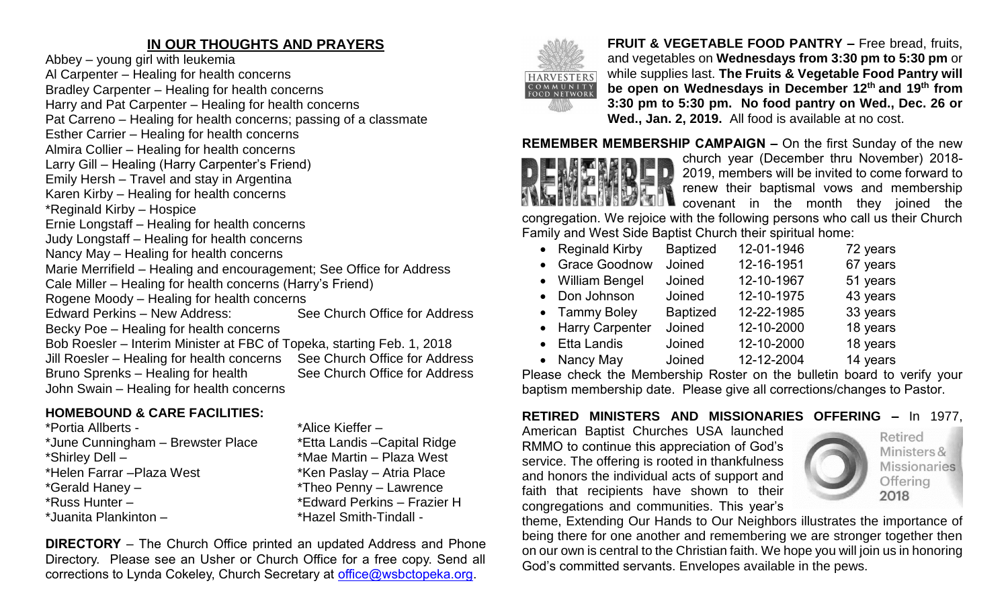#### **IN OUR THOUGHTS AND PRAYERS**

Abbey – young girl with leukemia Al Carpenter – Healing for health concerns Bradley Carpenter – Healing for health concerns Harry and Pat Carpenter – Healing for health concerns Pat Carreno – Healing for health concerns; passing of a classmate Esther Carrier – Healing for health concerns Almira Collier – Healing for health concerns Larry Gill – Healing (Harry Carpenter's Friend) Emily Hersh – Travel and stay in Argentina Karen Kirby – Healing for health concerns \*Reginald Kirby – Hospice Ernie Longstaff – Healing for health concerns Judy Longstaff – Healing for health concerns Nancy May – Healing for health concerns Marie Merrifield – Healing and encouragement; See Office for Address Cale Miller – Healing for health concerns (Harry's Friend) Rogene Moody – Healing for health concerns Edward Perkins – New Address: See Church Office for Address Becky Poe – Healing for health concerns Bob Roesler – Interim Minister at FBC of Topeka, starting Feb. 1, 2018 Jill Roesler – Healing for health concerns See Church Office for Address Bruno Sprenks – Healing for health See Church Office for Address John Swain – Healing for health concerns

#### **HOMEBOUND & CARE FACILITIES:**

\*Portia Allberts - \* \*Alice Kieffer – \*June Cunningham – Brewster Place \*Etta Landis –Capital Ridge \*Shirley Dell – \*Mae Martin – Plaza West \*Helen Farrar – Plaza West \*Ken Paslay – Atria Place \*Gerald Haney – \*Theo Penny – Lawrence \*Russ Hunter – \*Edward Perkins – Frazier H \*Juanita Plankinton – \*Hazel Smith-Tindall -

**DIRECTORY** – The Church Office printed an updated Address and Phone Directory. Please see an Usher or Church Office for a free copy. Send all corrections to Lynda Cokeley, Church Secretary at [office@wsbctopeka.org.](mailto:office@wsbctopeka.org)



**FRUIT & VEGETABLE FOOD PANTRY –** Free bread, fruits, and vegetables on **Wednesdays from 3:30 pm to 5:30 pm** or while supplies last. **The Fruits & Vegetable Food Pantry will be open on Wednesdays in December 12th and 19 th from 3:30 pm to 5:30 pm. No food pantry on Wed., Dec. 26 or Wed., Jan. 2, 2019.** All food is available at no cost.

#### **REMEMBER MEMBERSHIP CAMPAIGN –** On the first Sunday of the new



church year (December thru November) 2018- 2019, members will be invited to come forward to renew their baptismal vows and membership covenant in the month they joined the

congregation. We rejoice with the following persons who call us their Church Family and West Side Baptist Church their spiritual home:

| • Reginald Kirby  | <b>Baptized</b> | 12-01-1946 | 72 years |
|-------------------|-----------------|------------|----------|
| • Grace Goodnow   | Joined          | 12-16-1951 | 67 years |
| • William Bengel  | Joined          | 12-10-1967 | 51 years |
| • Don Johnson     | Joined          | 12-10-1975 | 43 years |
| • Tammy Boley     | <b>Baptized</b> | 12-22-1985 | 33 years |
| • Harry Carpenter | Joined          | 12-10-2000 | 18 years |
| • Etta Landis     | Joined          | 12-10-2000 | 18 years |
| • Nancy May       | Joined          | 12-12-2004 | 14 years |

Please check the Membership Roster on the bulletin board to verify your baptism membership date. Please give all corrections/changes to Pastor.

#### **RETIRED MINISTERS AND MISSIONARIES OFFERING –** In 1977,

American Baptist Churches USA launched RMMO to continue this appreciation of God's service. The offering is rooted in thankfulness and honors the individual acts of support and faith that recipients have shown to their congregations and communities. This year's



Retired Ministers & **Missionaries** Offering 2018

theme, Extending Our Hands to Our Neighbors illustrates the importance of being there for one another and remembering we are stronger together then on our own is central to the Christian faith. We hope you will join us in honoring God's committed servants. Envelopes available in the pews.